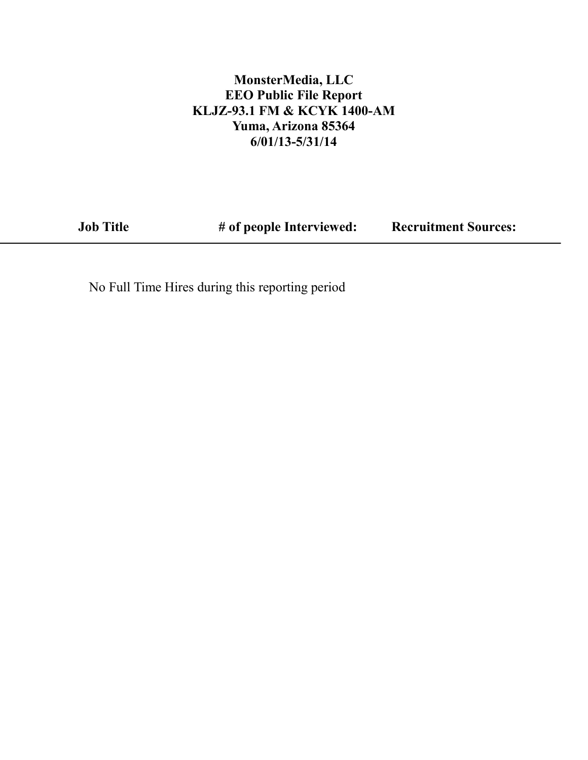### **MonsterMedia, LLC EEO Public File Report KLJZ-93.1 FM & KCYK 1400-AM Yuma, Arizona 85364 6/01/13-5/31/14**

**Job Title # of people Interviewed:** 

**Recruitment Sources:**

No Full Time Hires during this reporting period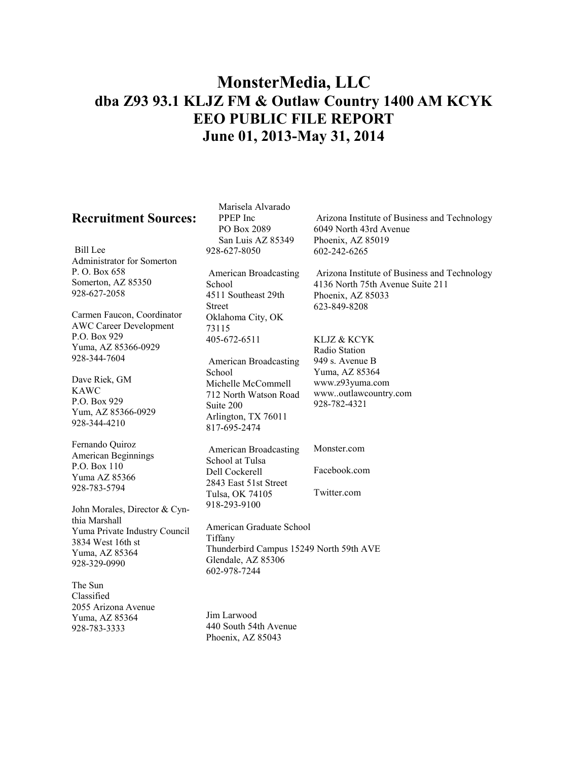# **MonsterMedia, LLC dba Z93 93.1 KLJZ FM & Outlaw Country 1400 AM KCYK EEO PUBLIC FILE REPORT June 01, 2013-May 31, 2014**

#### **Recruitment Sources:**

Bill Lee Administrator for Somerton P. O. Box 658 Somerton, AZ 85350 928-627-2058

Carmen Faucon, Coordinator AWC Career Development P.O. Box 929 Yuma, AZ 85366-0929 928-344-7604

Dave Riek, GM KAWC P.O. Box 929 Yum, AZ 85366-0929 928-344-4210

Fernando Quiroz American Beginnings P.O. Box 110 Yuma AZ 85366 928-783-5794

John Morales, Director & Cynthia Marshall Yuma Private Industry Council 3834 West 16th st Yuma, AZ 85364 928-329-0990

The Sun Classified 2055 Arizona Avenue Yuma, AZ 85364 928-783-3333

Marisela Alvarado PPEP Inc PO Box 2089 San Luis AZ 85349 928-627-8050

American Broadcasting School 4511 Southeast 29th Street Oklahoma City, OK 73115 405-672-6511

American Broadcasting School Michelle McCommell 712 North Watson Road Suite 200 Arlington, TX 76011 817-695-2474

Arizona Institute of Business and Technology 6049 North 43rd Avenue Phoenix, AZ 85019 602-242-6265

Arizona Institute of Business and Technology 4136 North 75th Avenue Suite 211 Phoenix, AZ 85033 623-849-8208

#### KLJZ & KCYK

Radio Station 949 s. Avenue B Yuma, AZ 85364 www.z93yuma.com www..outlawcountry.com 928-782-4321

American Broadcasting School at Tulsa Dell Cockerell 2843 East 51st Street Tulsa, OK 74105 918-293-9100 Monster.com Facebook.com Twitter.com

American Graduate School Tiffany Thunderbird Campus 15249 North 59th AVE Glendale, AZ 85306 602-978-7244

Jim Larwood 440 South 54th Avenue Phoenix, AZ 85043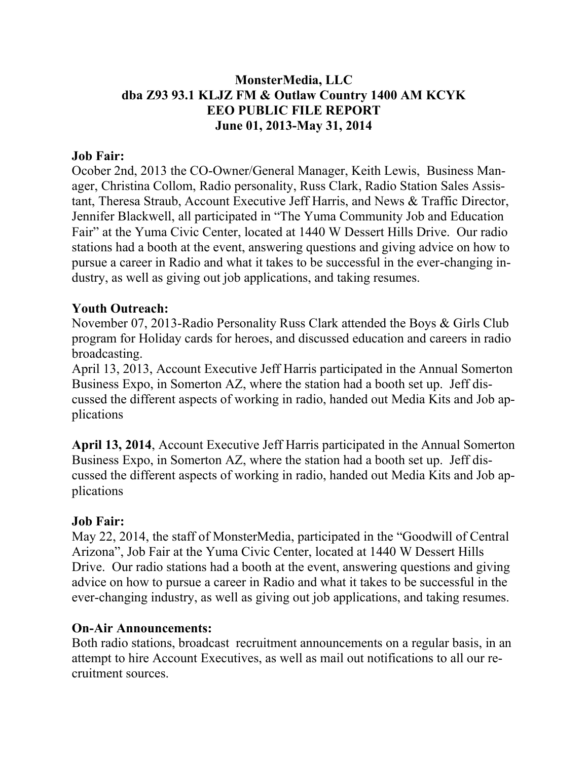### **MonsterMedia, LLC dba Z93 93.1 KLJZ FM & Outlaw Country 1400 AM KCYK EEO PUBLIC FILE REPORT June 01, 2013-May 31, 2014**

#### **Job Fair:**

Ocober 2nd, 2013 the CO-Owner/General Manager, Keith Lewis, Business Manager, Christina Collom, Radio personality, Russ Clark, Radio Station Sales Assistant, Theresa Straub, Account Executive Jeff Harris, and News & Traffic Director, Jennifer Blackwell, all participated in "The Yuma Community Job and Education Fair" at the Yuma Civic Center, located at 1440 W Dessert Hills Drive. Our radio stations had a booth at the event, answering questions and giving advice on how to pursue a career in Radio and what it takes to be successful in the ever-changing industry, as well as giving out job applications, and taking resumes.

#### **Youth Outreach:**

November 07, 2013-Radio Personality Russ Clark attended the Boys & Girls Club program for Holiday cards for heroes, and discussed education and careers in radio broadcasting.

April 13, 2013, Account Executive Jeff Harris participated in the Annual Somerton Business Expo, in Somerton AZ, where the station had a booth set up. Jeff discussed the different aspects of working in radio, handed out Media Kits and Job applications

**April 13, 2014**, Account Executive Jeff Harris participated in the Annual Somerton Business Expo, in Somerton AZ, where the station had a booth set up. Jeff discussed the different aspects of working in radio, handed out Media Kits and Job applications

#### **Job Fair:**

May 22, 2014, the staff of MonsterMedia, participated in the "Goodwill of Central Arizona", Job Fair at the Yuma Civic Center, located at 1440 W Dessert Hills Drive. Our radio stations had a booth at the event, answering questions and giving advice on how to pursue a career in Radio and what it takes to be successful in the ever-changing industry, as well as giving out job applications, and taking resumes.

#### **On-Air Announcements:**

Both radio stations, broadcast recruitment announcements on a regular basis, in an attempt to hire Account Executives, as well as mail out notifications to all our recruitment sources.